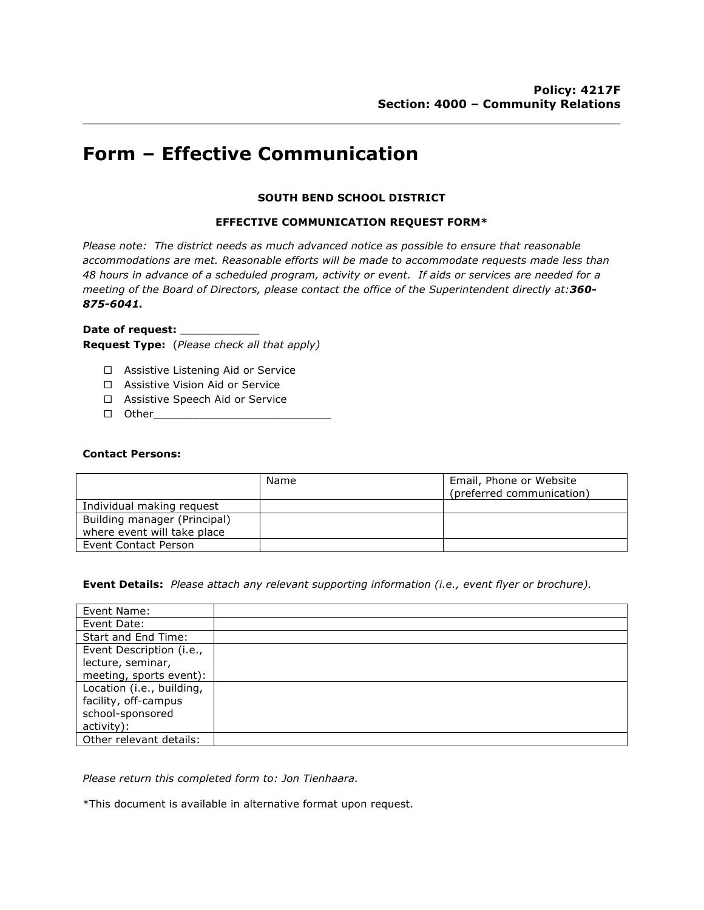# **Form – Effective Communication**

### **SOUTH BEND SCHOOL DISTRICT**

### **EFFECTIVE COMMUNICATION REQUEST FORM\***

*Please note: The district needs as much advanced notice as possible to ensure that reasonable accommodations are met. Reasonable efforts will be made to accommodate requests made less than 48 hours in advance of a scheduled program, activity or event. If aids or services are needed for a meeting of the Board of Directors, please contact the office of the Superintendent directly at:360- 875-6041.*

## Date of request: **Request Type:** (*Please check all that apply)*

- $\square$  Assistive Listening Aid or Service
- □ Assistive Vision Aid or Service
- □ Assistive Speech Aid or Service
- $\Box$  Other

#### **Contact Persons:**

|                              | Name | Email, Phone or Website<br>(preferred communication) |
|------------------------------|------|------------------------------------------------------|
| Individual making request    |      |                                                      |
| Building manager (Principal) |      |                                                      |
| where event will take place  |      |                                                      |
| Event Contact Person         |      |                                                      |

**Event Details:** *Please attach any relevant supporting information (i.e., event flyer or brochure).*

| Event Name:               |  |
|---------------------------|--|
| Event Date:               |  |
| Start and End Time:       |  |
| Event Description (i.e.,  |  |
| lecture, seminar,         |  |
| meeting, sports event):   |  |
| Location (i.e., building, |  |
| facility, off-campus      |  |
| school-sponsored          |  |
| activity):                |  |
| Other relevant details:   |  |

*Please return this completed form to: Jon Tienhaara.*

\*This document is available in alternative format upon request.